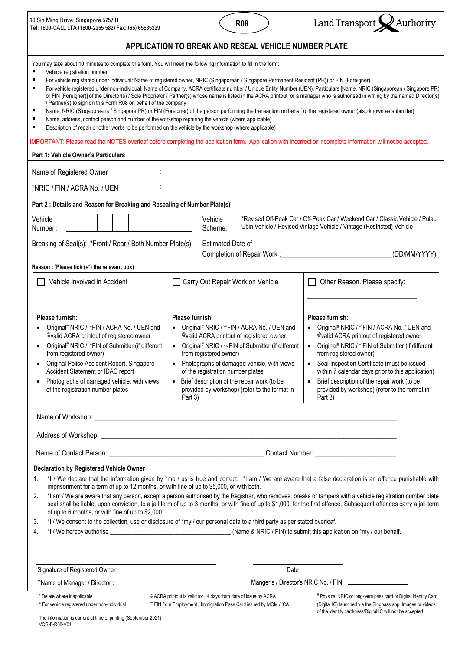| 10 Sin Ming Drive Singapore 575701                    |
|-------------------------------------------------------|
| Tel: 1800-CALL LTA (1800-2255 582) Fax: (65) 65535329 |





| You may take about 10 minutes to complete this form. You will need the following information to fill in the form:<br>Vehicle registration number<br>$\blacksquare$<br>/ Partner(s) to sign on this Form R08 on behalf of the company<br>٠<br>Name, address, contact person and number of the workshop repairing the vehicle (where applicable)<br>٠<br>Description of repair or other works to be performed on the vehicle by the workshop (where applicable) | For vehicle registered under individual: Name of registered owner, NRIC (Singaporean / Singapore Permanent Resident (PR)) or FIN (Foreigner)<br>Name, NRIC (Singaporeans / Singapore PR) or FIN (Foreigner) of the person performing the transaction on behalf of the registered owner (also known as submitter)                                                                                                               | For vehicle registered under non-individual: Name of Company, ACRA certificate number / Unique Entity Number (UEN), Particulars [Name, NRIC (Singaporean / Singapore PR)<br>or FIN (Foreigner)] of the Director(s) / Sole Proprietor / Partner(s) whose name is listed in the ACRA printout, or a manager who is authorised in writing by the named Director(s)                                                                                                                               |  |  |  |  |  |  |  |  |
|---------------------------------------------------------------------------------------------------------------------------------------------------------------------------------------------------------------------------------------------------------------------------------------------------------------------------------------------------------------------------------------------------------------------------------------------------------------|--------------------------------------------------------------------------------------------------------------------------------------------------------------------------------------------------------------------------------------------------------------------------------------------------------------------------------------------------------------------------------------------------------------------------------|-----------------------------------------------------------------------------------------------------------------------------------------------------------------------------------------------------------------------------------------------------------------------------------------------------------------------------------------------------------------------------------------------------------------------------------------------------------------------------------------------|--|--|--|--|--|--|--|--|
| IMPORTANT: Please read the NOTES overleaf before completing the application form. Application with incorrect or incomplete information will not be accepted.                                                                                                                                                                                                                                                                                                  |                                                                                                                                                                                                                                                                                                                                                                                                                                |                                                                                                                                                                                                                                                                                                                                                                                                                                                                                               |  |  |  |  |  |  |  |  |
| Part 1: Vehicle Owner's Particulars                                                                                                                                                                                                                                                                                                                                                                                                                           |                                                                                                                                                                                                                                                                                                                                                                                                                                |                                                                                                                                                                                                                                                                                                                                                                                                                                                                                               |  |  |  |  |  |  |  |  |
| Name of Registered Owner<br>*NRIC / FIN / ACRA No. / UEN                                                                                                                                                                                                                                                                                                                                                                                                      |                                                                                                                                                                                                                                                                                                                                                                                                                                |                                                                                                                                                                                                                                                                                                                                                                                                                                                                                               |  |  |  |  |  |  |  |  |
|                                                                                                                                                                                                                                                                                                                                                                                                                                                               |                                                                                                                                                                                                                                                                                                                                                                                                                                |                                                                                                                                                                                                                                                                                                                                                                                                                                                                                               |  |  |  |  |  |  |  |  |
| Part 2 : Details and Reason for Breaking and Resealing of Number Plate(s)<br>*Revised Off-Peak Car / Off-Peak Car / Weekend Car / Classic Vehicle / Pulau<br>Vehicle<br>Vehicle<br>Ubin Vehicle / Revised Vintage Vehicle / Vintage (Restricted) Vehicle<br>Number:<br>Scheme:                                                                                                                                                                                |                                                                                                                                                                                                                                                                                                                                                                                                                                |                                                                                                                                                                                                                                                                                                                                                                                                                                                                                               |  |  |  |  |  |  |  |  |
| Breaking of Seal(s): *Front / Rear / Both Number Plate(s)                                                                                                                                                                                                                                                                                                                                                                                                     | <b>Estimated Date of</b><br>Completion of Repair Work :_                                                                                                                                                                                                                                                                                                                                                                       | (DD/MM/YYYY)                                                                                                                                                                                                                                                                                                                                                                                                                                                                                  |  |  |  |  |  |  |  |  |
| Reason: (Please tick $(\checkmark)$ the relevant box)                                                                                                                                                                                                                                                                                                                                                                                                         |                                                                                                                                                                                                                                                                                                                                                                                                                                |                                                                                                                                                                                                                                                                                                                                                                                                                                                                                               |  |  |  |  |  |  |  |  |
| Vehicle involved in Accident                                                                                                                                                                                                                                                                                                                                                                                                                                  | Carry Out Repair Work on Vehicle                                                                                                                                                                                                                                                                                                                                                                                               | Other Reason. Please specify:                                                                                                                                                                                                                                                                                                                                                                                                                                                                 |  |  |  |  |  |  |  |  |
| Please furnish:<br>Original# NRIC / "FIN / ACRA No. / UEN and<br>$\bullet$<br>@valid ACRA printout of registered owner<br>Original# NRIC / "FIN of Submitter (if different<br>$\bullet$<br>from registered owner)<br>Original Police Accident Report, Singapore<br>$\bullet$<br>Accident Statement or IDAC report<br>Photographs of damaged vehicle, with views<br>$\bullet$<br>of the registration number plates                                             | Please furnish:<br>Original# NRIC / "FIN / ACRA No. / UEN and<br>$\bullet$<br>@valid ACRA printout of registered owner<br>Original# NRIC / ∞FIN of Submitter (if different<br>$\bullet$<br>from registered owner)<br>Photographs of damaged vehicle, with views<br>$\bullet$<br>of the registration number plates<br>• Brief description of the repair work (to be<br>provided by workshop) (refer to the format in<br>Part 3) | Please furnish:<br>Original# NRIC / "FIN / ACRA No. / UEN and<br>$\bullet$<br>@valid ACRA printout of registered owner<br>Original# NRIC / "FIN of Submitter (if different<br>$\bullet$<br>from registered owner)<br>Seal Inspection Certificate (must be issued<br>$\bullet$<br>within 7 calendar days prior to this application)<br>Brief description of the repair work (to be<br>$\bullet$<br>provided by workshop) (refer to the format in<br>Part 3)                                    |  |  |  |  |  |  |  |  |
|                                                                                                                                                                                                                                                                                                                                                                                                                                                               |                                                                                                                                                                                                                                                                                                                                                                                                                                |                                                                                                                                                                                                                                                                                                                                                                                                                                                                                               |  |  |  |  |  |  |  |  |
|                                                                                                                                                                                                                                                                                                                                                                                                                                                               |                                                                                                                                                                                                                                                                                                                                                                                                                                |                                                                                                                                                                                                                                                                                                                                                                                                                                                                                               |  |  |  |  |  |  |  |  |
| Declaration by Registered Vehicle Owner<br>1.<br>imprisonment for a term of up to 12 months, or with fine of up to \$5,000, or with both.<br>2.<br>of up to 6 months, or with fine of up to \$2,000.<br>3.<br>4.                                                                                                                                                                                                                                              | *I / We consent to the collection, use or disclosure of *my / our personal data to a third party as per stated overleaf.                                                                                                                                                                                                                                                                                                       | *1 / We declare that the information given by *me / us is true and correct. *1 am / We are aware that a false declaration is an offence punishable with<br>*I am / We are aware that any person, except a person authorised by the Registrar, who removes, breaks or tampers with a vehicle registration number plate<br>seal shall be liable, upon conviction, to a jail term of up to 3 months, or with fine of up to \$1,000, for the first offence. Subsequent offences carry a jail term |  |  |  |  |  |  |  |  |
| Signature of Registered Owner                                                                                                                                                                                                                                                                                                                                                                                                                                 | Date                                                                                                                                                                                                                                                                                                                                                                                                                           |                                                                                                                                                                                                                                                                                                                                                                                                                                                                                               |  |  |  |  |  |  |  |  |
|                                                                                                                                                                                                                                                                                                                                                                                                                                                               |                                                                                                                                                                                                                                                                                                                                                                                                                                | Manger's / Director's NRIC No. / FIN: _____________________                                                                                                                                                                                                                                                                                                                                                                                                                                   |  |  |  |  |  |  |  |  |
| * Delete where inapplicable<br>^ For vehicle registered under non-individual<br>The information is current at time of printing (September 2021)<br>VQR-F-R08-V01                                                                                                                                                                                                                                                                                              | @ ACRA printout is valid for 14 days from date of issue by ACRA<br>" FIN from Employment / Immigration Pass Card issued by MOM / ICA                                                                                                                                                                                                                                                                                           | # Physical NRIC or long-term pass card or Digital Identity Card<br>(Digital IC) launched via the Singpass app. Images or videos<br>of the identity card/pass/Digital IC will not be accepted                                                                                                                                                                                                                                                                                                  |  |  |  |  |  |  |  |  |